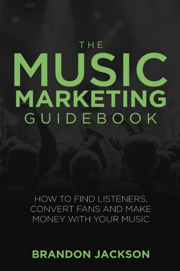## **BRANDON JACKSON**

HOW TO FIND LISTENERS. CONVERT FANS AND MAKE MONEY WITH YOUR MUSIC

# THE MUSIC **MARKETING** GUIDEBOOK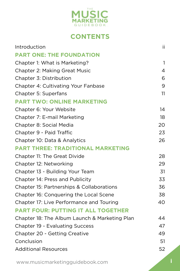

## **CONTENTS**

| Introduction                                  | ii.            |
|-----------------------------------------------|----------------|
| <b>PART ONE: THE FOUNDATION</b>               |                |
| Chapter 1: What is Marketing?                 | $\mathbf{1}$   |
| <b>Chapter 2: Making Great Music</b>          | $\overline{4}$ |
| Chapter 3: Distribution                       | 6              |
| <b>Chapter 4: Cultivating Your Fanbase</b>    | 9              |
| Chapter 5: Superfans                          | 11             |
| <b>PART TWO: ONLINE MARKETING</b>             |                |
| Chapter 6: Your Website                       | 14             |
| Chapter 7: E-mail Marketing                   | 18             |
| Chapter 8: Social Media                       | 20             |
| Chapter 9 - Paid Traffic                      | 23             |
| Chapter 10: Data & Analytics                  | 26             |
| <b>PART THREE: TRADITIONAL MARKETING</b>      |                |
| Chapter 11: The Great Divide                  | 28             |
| Chapter 12: Networking                        | 29             |
| Chapter 13 - Building Your Team               | 31             |
| Chapter 14: Press and Publicity               | 33             |
| Chapter 15: Partnerships & Collaborations     | 36             |
| Chapter 16: Conquering the Local Scene        | 38             |
| Chapter 17: Live Performance and Touring      | 40             |
| <b>PART FOUR: PUTTING IT ALL TOGETHER</b>     |                |
| Chapter 18: The Album Launch & Marketing Plan | 44             |
| <b>Chapter 19 - Evaluating Success</b>        | 47             |
| Chapter 20 - Getting Creative                 | 49             |
| Conclusion                                    | 51             |
| <b>Additional Resources</b>                   | 52             |
|                                               |                |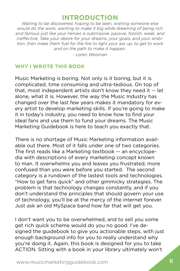## **INTRODUCTION**

<span id="page-2-0"></span>*Waiting to be discovered, hoping to be seen, wishing someone else would do the work, wanting to make it big while dreaming of being rich and famous just like your heroes is submissive, passive, foolish, weak, and ineffective. Take your desire for your dreams, your goals, and your ambition, then make them fuel for the fire to light your ass up, to get to work and on the path to make it happen.*

*- Loren Weisman*

#### **WHY I WROTE THIS BOOK**

Music Marketing is boring. Not only is it boring, but it is complicated, time consuming and ultra-tedious. On top of that, most independent artists don't know they need it -- let alone, what it is. However, the way the Music Industry has changed over the last few years makes it mandatory for every artist to develop marketing skills. If you're going to make it in today's industry, you need to know how to find your ideal fans and use them to fund your dreams. The Music Marketing Guidebook is here to teach you exactly that.

There is no shortage of Music Marketing information available out there. Most of it falls under one of two categories. The first reads like a Marketing textbook -- an encyclopedia with descriptions of every marketing concept known to man. It overwhelms you and leaves you frustrated, more confused than you were before you started. The second category is a rundown of the lastest tools and technologies. "How to get fans quick" and other gimmicky strategies. The problem is that technology changes constantly, and if you don't understand the principles that should govern your use of technology, you'll be at the mercy of the internet forever. Just ask an old MySpace band how far that will get you.

I don't want you to be overwhelmed, and to sell you some get rich quick scheme would do you no good. I've designed the guidebook to give you actionable steps, with just enough background info for you to really understand why you're doing it. Again, this book is designed for you to take ACTION. Sitting with a book in your library ultimately won't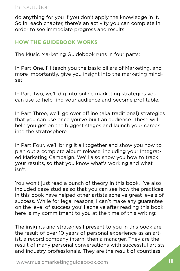## Introduction

do anything for you if you don't apply the knowledge in it. So in each chapter, there's an activity you can complete in order to see immediate progress and results.

## **HOW THE GUIDEBOOK WORKS**

The Music Marketing Guidebook runs in four parts:

In Part One, I'll teach you the basic pillars of Marketing, and more importantly, give you insight into the marketing mindset.

In Part Two, we'll dig into online marketing strategies you can use to help find your audience and become profitable.

In Part Three, we'll go over offline (aka traditional) strategies that you can use once you've built an audience. These will help you get on the biggest stages and launch your career into the stratosphere.

In Part Four, we'll bring it all together and show you how to plan out a complete album release, including your Integrated Marketing Campaign. We'll also show you how to track your results, so that you know what's working and what isn't.

You won't just read a bunch of theory in this book. I've also included case studies so that you can see how the practices in this book have helped other artists acheive great levels of success. While for legal reasons, I can't make any guarantee on the level of success you'll acheive after reading this book; here is my commitment to you at the time of this writing:

The insights and strategies I present to you in this book are the result of over 10 years of personal experience as an artist, a record company intern, then a manager. They are the result of many personal conversations with successful artists and industry professionals. They are the result of countless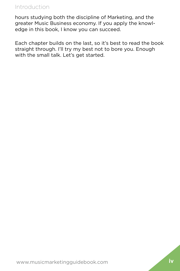## Introduction

hours studying both the discipline of Marketing, and the greater Music Business economy. If you apply the knowledge in this book, I know you can succeed.

Each chapter builds on the last, so it's best to read the book straight through. I'll try my best not to bore you. Enough with the small talk. Let's get started.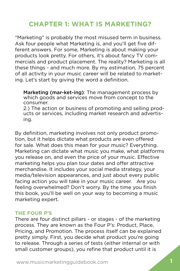## <span id="page-5-0"></span>**CHAPTER 1: WHAT IS MARKETING?**

"Marketing" is probably the most misused term in business. Ask four people what Marketing is, and you'll get five different answers. For some, Marketing is about making your products look pretty. For others, it's about fancy TV commercials and product placement. The reality? Marketing is all these things - and much more. By my estimation, 75 percent of all activity in your music career will be related to marketing. Let's start by giving the word a definition.

Marketing (mar-ket-ing): The management process by which goods and services move from concept to the consumer.

2.) The action or business of promoting and selling products or services, including market research and advertising.

By definition, marketing involves not only product promotion, but it helps dictate what products are even offered for sale. What does this mean for your music? Everything. Marketing can dictate what music you make, what platforms you release on, and even the price of your music. Effective marketing helps you plan tour dates and offer attractive merchandise. It includes your social media strategy, your media/television appearances, and just about every public facing action you will take in your music career. Are you feeling overwhelmed? Don't worry. By the time you finish this book, you'll be well on your way to becoming a music marketing expert.

#### **THE FOUR P'S**

There are four distinct pillars - or stages - of the marketing process. They are known as the Four P's: Product, Place, Pricing, and Promotion. The process itself can be explained pretty simply. First, you decide what product you're going to release. Through a series of tests (either internal or with small customer groups), you refine that product until it is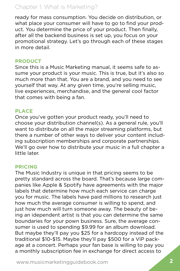## Chapter 1: What is Marketing?

ready for mass consumption. You decide on distribution, or what place your consumer will have to go to find your product. You determine the price of your product. Then finally, after all the backend business is set up, you focus on your promotional strategy. Let's go through each of these stages in more detail.

#### **PRODUCT**

Since this is a Music Marketing manual, it seems safe to assume your product is your music. This is true, but it's also so much more than that. You are a brand, and you need to see yourself that way. At any given time, you're selling music, live experiences, merchandise, and the general cool factor that comes with being a fan.

## **PLACE**

Once you've gotten your product ready, you'll need to choose your distribution channel(s). As a general rule, you'll want to distribute on all the major streaming platforms, but there a number of other ways to deliver your content including subscription memberships and corporate partnerships. We'll go over how to distribute your music in a full chapter a little later.

## **PRICING**

The Music Industry is unique in that pricing seems to be pretty standard across the board. That's because large companies like Apple & Spotify have agreements with the major labels that determine how much each service can charge you for music. The labels have paid millions to research just how much the average consumer is willing to spend, and just how much will turn someone away. The beauty of being an idependent artist is that you can determine the same boundaries for your pown business. Sure, the average consumer is used to spending \$9.99 for an album download. But maybe they'll pay you \$25 for a hardcopy instead of the traditional \$10-\$15. Maybe they'll pay \$500 for a VIP package at a concert. Perhaps your fan base is willing to pay you a monthly subscription fee in exchange for direct access to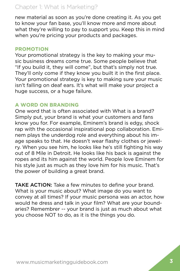## Chapter 1: What is Marketing?

new material as soon as you're done creating it. As you get to know your fan base, you'll know more and more about what they're willing to pay to support you. Keep this in mind when you're pricing your products and packages.

#### **PROMOTION**

Your promotional strategy is the key to making your music business dreams come true. Some people believe that "If you build it, they will come", but that's simply not true. They'll only come if they know you built it in the first place. Your promotional strategy is key to making sure your music isn't falling on deaf ears. It's what will make your project a huge success, or a huge failure.

#### **A WORD ON BRANDING**

One word that is often associated with What is a brand? Simply put, your brand is what your customers and fans know you for. For example, Eminem's brand is edgy, shock rap with the occasional inspirational pop collaboration. Eminem plays the underdog role and everything about his image speaks to that. He doesn't wear flashy clothes or jewelry. When you see him, he looks like he's still fighting his way out of 8 Mile in Detroit. He looks like his back is against the ropes and its him against the world. People love Eminem for his style just as much as they love him for his music. That's the power of building a great brand.

TAKE ACTION: Take a few minutes to define your brand. What is your music about? What image do you want to convey at all times? If your music persona was an actor, how would he dress and talk in your film? What are your boundaries? Remembrer -- your brand is just as much about what you choose NOT to do, as it is the things you do.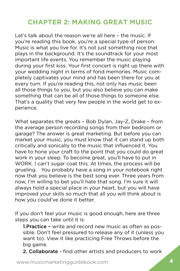## <span id="page-8-0"></span>**CHAPTER 2: MAKING GREAT MUSIC**

Let's talk about the reason we're all here – the music. If you're reading this book, you're a special type of person. Music is what you live for. It's not just something nice that plays in the background. It's the soundtrack for your most important life events. You remember the music playing during your first kiss. Your first concert is right up there with your wedding night in terms of fond memories. Music completely captivates your mind and has been there for you at every turn. If you're reading this, not only has music been all those things to you, but you also believe you can make something that can be all of those things to someone else. That's a quality that very few people in the world get to experience.

What separates the greats – Bob Dylan, Jay-Z, Drake – from the average person recording songs from their bedroom or garage? The answer is great marketing. But before you can market your music, you must know that it can stand up both critically and sonically to the music that influenced it. You have to hone your craft to the point that you could do great work in your sleep. To become great, you'll have to put in WORK. I can't sugar coat this. At times, the process will be grueling. You probably have a song in your notebook right now that you believe is the best song ever. Three years from now, I'm willing to bet you'll hate that song. I'm sure it will always hold a special place in your heart, but you will have improved your skills so much that all you will think about is how you could've done it better.

If you don't feel your music is good enough, here are three steps you can take until it is:

1. Practice - write and record new music as often as possible. Don't feel pressured to release any of it (unless you want to). View it like practicing Free Throws before the big game.

2. Collaborate - find other artists and producers to work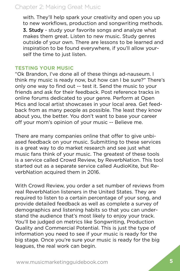## Chapter 2: Making Great Music

with. They'll help spark your creativity and open you up to new workflows, production and songwriting methods. 3. Study - study your favorite songs and analyze what makes them great. Listen to new music. Study genres outside of your own. There are lessons to be learned and inspiration to be found everywhere, if you'll allow yourself the time to just listen.

#### **TESTING YOUR MUSIC**

"Ok Brandon, I've done all of these things ad-nauseum. I think my music is ready now, but how can I be sure?" There's only one way to find out -- test it. Send the music to your friends and ask for their feedback. Post reference tracks in online forums dedicated to your genre. Perform at Open Mics and local artist showcases in your local area. Get feedback from as many people as possible. The least they know about you, the better. You don't want to base your career off your mom's opinion of your music -- Believe me.

There are many companies online that offer to give unbiased feedback on your music. Submitting to these services is a great way to do market research and see just what music fans think of your music. The greatest of these tools is a service called Crowd Review, by ReverbNation. This tool started out as a separate service called AudioKite, but ReverbNation acquired them in 2016.

With Crowd Review, you order a set number of reviews from real ReverbNation listeners in the United States. They are required to listen to a certain percentage of your song, and provide detailed feedback as well as complete a survey of demographics and listening habits so that you can understand the audience that's most likely to enjoy your track. You'll be judged on metrics like Songwriting, Production Quality and Commercial Potential. This is just the type of information you need to see if your music is ready for the big stage. Once you're sure your music is ready for the big leagues, the real work can begin.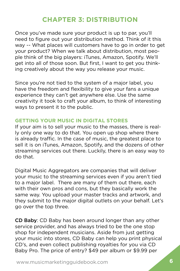## **CHAPTER 3: DISTRIBUTION**

<span id="page-10-0"></span>Once you've made sure your product is up to par, you'll need to figure out your distribution method. Think of it this way -- What places will customers have to go in order to get your product? When we talk about distribution, most people think of the big players: iTunes, Amazon, Spotify. We'll get into all of those soon. But first, I want to get you thinking creatively about the way you release your music.

Since you're not tied to the system of a major label, you have the freedom and flexibility to give your fans a unique experience they can't get anywhere else. Use the same creativity it took to craft your album, to think of interesting ways to present it to the public.

## **GETTING YOUR MUSIC IN DIGITAL STORES**

If your aim is to sell your music to the masses, there is really only one way to do that. You open up shop where there is already traffic. In the case of music, the greatest place to sell it is on iTunes, Amazon, Spotify, and the dozens of other streaming services out there. Luckily, there is an easy way to do that.

Digital Music Aggregators are companies that will deliver your music to the streaming services even if you aren't tied to a major label. There are many of them out there, each with their own pros and cons, but they basically work the same way. You upload your master tracks and artwork, and they submit to the major digital outlets on your behalf. Let's go over the top three.

CD Baby: CD Baby has been around longer than any other service provider, and has always tried to be the one stop shop for independent musicians. Aside from just getting your music into stores, CD Baby can help you print physical CD's, and even collect publishing royalties for you via CD Baby Pro. The price of entry? \$49 per album or \$9.99 per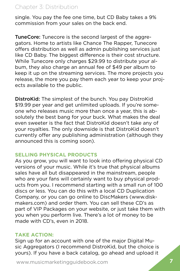## Chapter 3: Distribution

single. You pay the fee one time, but CD Baby takes a 9% commission from your sales on the back end.

**TuneCore:** Tunecore is the second largest of the aggregators. Home to artists like Chance The Rapper, Tunecore offers distribution as well as admin publishing services just like CD Baby. The biggest difference is their cost structure. While Tunecore only charges \$29.99 to distribute your album, they also charge an annual fee of \$49 per album to keep it up on the streaming services. The more projects you release, the more you pay them each year to keep your projects available to the public.

DistroKid: The simplest of the bunch. You pay DistroKid \$19.99 per year and get unlimited uploads. If you're someone who releases music more than once a year, this is absolutely the best bang for your buck. What makes the deal even sweeter is the fact that DistroKid doesn't take any of your royalties. The only downside is that DistroKid doesn't currently offer any publishing administration (although they announced this is coming soon).

## **SELLING PHYSICAL PRODUCTS**

As you grow, you will want to look into offering physical CD versions of your music. While it's true that physical albums sales have all but disappeared in the mainstream, people who are your fans will certainly want to buy physical products from you. I recommend starting with a small run of 100 discs or less. You can do this with a local CD Duplication Company, or you can go online to DiscMakers (www.diskmakers.com) and order them. You can sell these CD's as part of VIP Packages on your website, or just take them with you when you perform live. There's a lot of money to be made with CD's, even in 2018.

## **TAKE ACTION:**

Sign up for an account with one of the major Digital Music Aggregators (I recommend DistroKid, but the choice is yours). If you have a back catalog, go ahead and upload it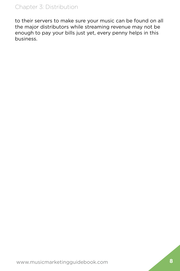## Chapter 3: Distribution

to their servers to make sure your music can be found on all the major distributors while streaming revenue may not be enough to pay your bills just yet, every penny helps in this business.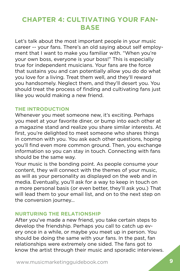## <span id="page-13-0"></span>**CHAPTER 4: CULTIVATING YOUR FAN-BASE**

Let's talk about the most important people in your music career -- your fans. There's an old saying about self employment that I want to make you familiar with. "When you're your own boss, everyone is your boss!" This is especially true for independent musicians. Your fans are the force that sustains you and can potentially allow you do do what you love for a living. Treat them well, and they'll reward you handsomely. Neglect them, and they'll desert you. You should treat the process of finding and cultivating fans just like you would making a new friend.

## **THE INTRODUCTION**

Whenever you meet someone new, it's exciting. Perhaps you meet at your favorite diner, or bump into each other at a magazine stand and realize you share similar interests. At first, you're delighted to meet someone who shares things in common with you. You ask each other questions, hoping you'll find even more common ground. Then, you exchange information so you can stay in touch. Connecting with fans should be the same way.

Your music is the bonding point. As people consume your content, they will connect with the themes of your music, as will as your personality as displayed on the web and in media. Eventually, you'll ask for a way to keep in touch on a more personal basis (or even better, they'll ask you.) That will lead them to your email list, and on to the next step on the conversion journey...

#### **NURTURING THE RELATIONSHIP**

After you've made a new friend, you take certain steps to develop the friendship. Perhaps you call to catch up every once in a while, or maybe you meet up in person. You should be doing the same with your fans. In the past, fan relationships were extremely one sided. The fans got to know the artist through their music and sporadic interviews.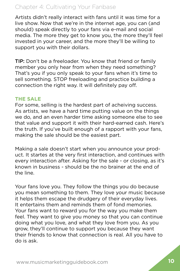## Chapter 4: Cultivating Your Fanbase

Artists didn't really interact with fans until it was time for a live show. Now that we're in the internet age, you can (and should) speak directly to your fans via e-mail and social media. The more they get to know you, the more they'll feel invested in your career, and the more they'll be willing to support you with their dollars.

TIP: Don't be a freeloader. You know that friend or family member you only hear from when they need something? That's you if you only speak to your fans when it's time to sell something. STOP freeloading and practice building a connection the right way. It will definitely pay off.

## **THE SALE**

For some, selling is the hardest part of acheiving success. As artists, we have a hard time putting value on the things we do, and an even harder time asking someone else to see that value and support it with their hard-earned cash. Here's the truth. If you've built enough of a rapport with your fans, making the sale should be the easiest part.

Making a sale doesn't start when you announce your product. It startes at the very first interaction, and continues with every interaction after. Asking for the sale - or closing, as it's known in business - should be the no brainer at the end of the line.

Your fans love you. They follow the things you do because you mean something to them. They love your music because it helps them escape the drudgery of their everyday lives. It entertains them and reminds them of fond memories. Your fans want to reward you for the way you make them feel. They want to give you money so that you can continue doing what you love, and what they love from you. As you grow, they'll continue to support you because they want their friends to know that connection is real. All you have to do is ask.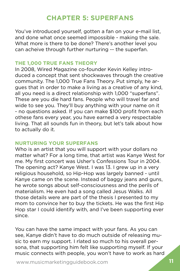## **CHAPTER 5: SUPERFANS**

<span id="page-15-0"></span>You've introduced yourself, gotten a fan on your e-mail list, and done what once seemed impossible - making the sale. What more is there to be done? There's another level you can acheive through further nurturing -- the superfan.

#### **THE 1,000 TRUE FANS THEORY**

In 2008, Wired Magazine co-founder Kevin Kelley introduced a concept that sent shockwaves through the creative community. The 1,000 True Fans Theory. Put simply, he argues that in order to make a living as a creative of any kind, all you need is a direct relationship with 1,000 "superfans". These are you die hard fans. People who will travel far and wide to see you. They'll buy anything with your name on it - no questions asked. If you can make \$100 profit from each othese fans every year, you have earned a very respectable living. That all sounds fun in theory, but let's talk about how to actually do it.

## **NURTURING YOUR SUPERFANS**

Who is an artist that you will support with your dollars no matter what? For a long time, that artist was Kanye West for me. My first concert was Usher's Confessions Tour in 2004. The opening act? Kanye West. I was 13. I grew up in a very religious household, so Hip-Hop was largely banned - until Kanye came on the scene. Instead of baggy jeans and guns, he wrote songs about self-consciousness and the perils of materialism. He even had a song called Jesus Walks. All those details were are part of the thesis I presented to my mom to convince her to buy the tickets. He was the first Hip Hop star I could identify with, and I've been supporting ever since.

You can have the same impact with your fans. As you can see, Kanye didn't have to do much outside of releasing music to earn my support. I rlated so much to his overall persona, that supporting him felt like supporting myself. If your music connects with people, you won't have to work as hard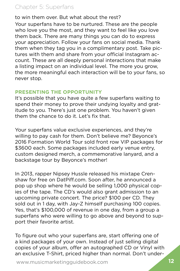## Chapter 5: Superfans

to win them over. But what about the rest?

Your superfans have to be nurtured. These are the people who love you the most, and they want to feel like you love them back. There are many things you can do to express your appreciation. Follow your fans on social media. Thank them when they tag you in a complimentary post. Take pictures with them and share from your official Instagram account. These are all deeply personal interactions that make a listing impact on an individual level. The more you grow, the more meaningful each interaction will be to your fans, so never stop.

## **PRESENTING THE OPPORTUNITY**

It's possible that you have quite a few superfans waiting to spend their money to prove their undying loyalty and gratitude to you. There's just one problem. You haven't given them the chance to do it. Let's fix that.

Your superfans value exclusive experiences, and they're willing to pay cash for them. Don't believe me? Beyonce's 2016 Formation World Tour sold front row VIP packages for \$3600 each. Some packages included early venue entry, custom designed merch, a commemorative lanyard, and a backstage tour by Beyonce's mother!

In 2013, rapper Nipsey Hussle released his mixtape Crenshaw for free on DatPiff.com. Soon after, he announced a pop up shop where he would be selling 1,000 physical copies of the tape. The CD's would also grant admission to an upcoming private concert. The price? \$100 per CD. They sold out in 1 day, with Jay-Z himself purchasing 100 copies. Yes, that's \$100,000 of revenue in one day, from a group a superfans who were willing to go above and beyond to support their favorite artist.

To figure out who your superfans are, start offering one of a kind packages of your own. Instead of just selling digital copies of your album, offer an autographed CD or Vinyl with an exclusive T-Shirt, priced higher than normal. Don't under-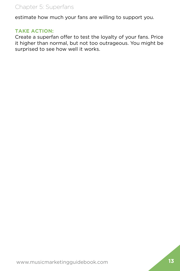## Chapter 5: Superfans

estimate how much your fans are willing to support you.

## **TAKE ACTION:**

Create a superfan offer to test the loyalty of your fans. Price it higher than normal, but not too outrageous. You might be surprised to see how well it works.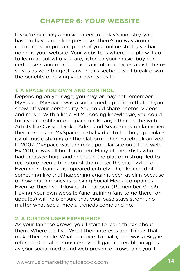## **CHAPTER 6: YOUR WEBSITE**

<span id="page-18-0"></span>If you're building a music career in today's industry, you have to have an online presense. There's no way around it. The most important piece of your online strategy - bar none- is your website. Your website is where people will go to learn about who you are, listen to your music, buy concert tickets and merchandise, and ultimately, establish themselves as your biggest fans. In this section, we'll break down the benefits of having your own website.

## **1. A SPACE YOU OWN AND CONTROL**

Depending on your age, you may or may not remember MySpace. MySpace was a social media platform that let you show off your personality. You could share photos, videos and music. With a little HTML coding knowledge, you could turn your profile into a space unlike any other on the web. Artists like Cassie, Drake, Adele and Sean Kingston launched their careers on MySpace, partially due to the huge popularity of music sharing on the platform. Then Facebook arrived. In 2007, MySpace was the most popular site on all the web. By 2011, it was all but forgotten. Many of the artists who had amassed huge audiences on the platform struggled to recapture even a fraction of them after the site fizzled out. Even more bands disappeared entirely. The likelihood of something like that happening again is seen as slim because of how much money is backing Social Media companies. Even so, these shutdowns still happen. (Remember Vine?) Having your own website (and training fans to go there for updates) will help ensure that your base stays strong, no matter what social media treneds come and go.

#### **2. A CUSTOM USER EXPERIENCE**

As your fanbase grows, you'll start to learn things about them. Where the live. What their interests are. Things that make them smile. What numbers to dial. (That was a Biggie reference). In all seriousness, you'll gain incredible insights as your social media and web presence grows, and you'll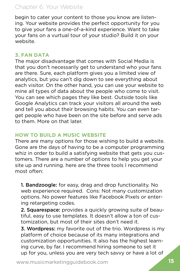## Chapter 6: Your Website

begin to cater your content to those you know are listening. Your website provides the perfect opportunity for you to give your fans a one-of-a-kind experience. Want to take your fans on a vurtual tour of your studio? Build it on your website.

## **3. FAN DATA**

The major disadvantage that comes with Social Media is that you don't necessarily get to understand who your fans are there. Sure, each platform gives you a limited view of analytics, but you can't dig down to see everything about each visitor. On the other hand, you can use your website to mine all types of data about the people who come to visit. You can see which pages they like best. Outside tools like Google Analytics can track your visitors all around the web and tell you about their browsing habits. You can even target people who have been on the site before and serve ads to them. More on that later.

## **HOW TO BUILD A MUSIC WEBSITE**

There are many options for those wishing to build a website. Gone are the days of having to be a computer programming whiz in order to build a satisfying website that gets you customers. There are a number of options to help you get your site up and running. here are the three tools I recommend most often:

1. Bandzoogle: for easy, drag and drop functionality. No web experience required. Cons: Not many customization options. No power features like Facebook Pixels or entering retargeting codes.

**2. Squarespace:** provides a quickly growing suite of beautiful, easy to use templates. It doesn't allow a ton of customization, but most of their sites don't need it.

3. Wordpress: my favorite out of the trio. Wordpress is my platform of choice because of its many integrations and customization opportunities. It also has the highest learning curve, by far. I recommend hiring someone to set it up for you, unless you are very tech savvy or have a lot of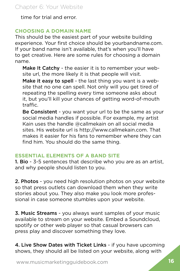time for trial and error.

## **CHOOSING A DOMAIN NAME**

This should be the easiest part of your website building experience. Your first choice should be yourbandname.com. If your band name isn't available, that's when you'll have to get creative. Here are some rules for choosing a domain name.

Make It Catchy - the easier it is to remember your website url, the more likely it is that people will visit.

Make it easy to spell - the last thing you want is a website that no one can spell. Not only will you get tired of repeating the spelling every time someone asks about it, but you'll kill your chances of getting word-of-mouth traffic.

Be Consistent - you want your url to be the same as your social media handles if possible. For example, my artist Kain uses the handle @callmekain on all social media sites. His website url is http://www.callmekain.com. That makes it easier for his fans to remember where they can find him. You should do the same thing.

## **ESSENTIAL ELEMENTS OF A BAND SITE**

1. Bio - 3-5 sentences that describe who you are as an artist, and why people should listen to you.

2. Photos - you need high resolution photos on your website so that press outlets can download them when they write stories about you. They also make you look more professional in case someone stumbles upon your website.

3. Music Streams - you always want samples of your music available to stream on your website. Embed a Soundcloud, spotify or other web player so that casual browsers can press play and discover something they love.

4. Live Show Dates with Ticket Links - if you have upcoming shows, they should all be listed on your website, along with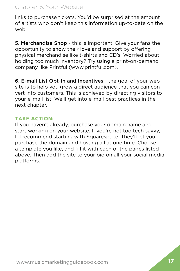## Chapter 6: Your Website

links to purchase tickets. You'd be surprised at the amount of artists who don't keep this information up-to-date on the web.

5. Merchandise Shop - this is important. Give your fans the opportunity to show their love and support by offering physical merchandise like t-shirts and CD's. Worried about holding too much inventory? Try using a print-on-demand company like Printful (www.printful.com).

6. E-mail List Opt-In and Incentives - the goal of your website is to help you grow a direct audience that you can convert into customers. This is achieved by directing visitors to your e-mail list. We'll get into e-mail best practices in the next chapter.

## **TAKE ACTION:**

If you haven't already, purchase your domain name and start working on your website. If you're not too tech savvy, I'd recommend starting with Squarespace. They'll let you purchase the domain and hosting all at one time. Choose a template you like, and fill it with each of the pages listed above. Then add the site to your bio on all your social media platforms.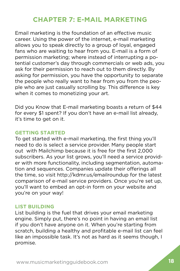## **CHAPTER 7: E-MAIL MARKETING**

<span id="page-22-0"></span>Email marketing is the foundation of an effective music career. Using the power of the internet, e-mail marketing allows you to speak directly to a group of loyal, engaged fans who are waiting to hear from you. E-mail is a form of permission marketing; where instead of interrupting a potential customer's day through commercials or web ads, you ask for their permission to reach out to them directly. By asking for permission, you have the opportunity to separate the people who really want to hear from you from the people who are just casually scrolling by. This difference is key when it comes to monetizing your art.

Did you Know that E-mail marketing boasts a return of \$44 for every \$1 spent? If you don't have an e-mail list already, it's time to get on it.

#### **GETTING STARTED**

To get started with e-mail marketing, the first thing you'll need to do is select a service provider. Many people start out with Mailchimp because it is free for the first 2,000 subscribers. As your list grows, you'll need a service provider with more functionality, including segmentation, automation and sequences. Companies update their offerings all the time, so visit http://kdmr.us/emailroundup for the latest comparison of e-mail service providers. Once you're set up, you'll want to embed an opt-in form on your website and you're on your way!

## **LIST BUILDING**

List building is the fuel that drives your email marketing engine. Simply put, there's no point in having an email list if you don't have anyone on it. When you're starting from scratch, building a healthy and profitable e-mail list can feel like an impossible task. It's not as hard as it seems though, I promise.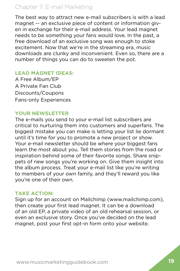## Chapter 7: E-mail Marketing

The best way to attract new e-mail subscribers is with a lead magnet -- an exclusive piece of content or information given in exchange for their e-mail address. Your lead magnet needs to be something your fans would love. In the past, a free download of an exclusive song was enough to stoke excitement. Now that we're in the streaming era, music downloads are clunky and inconvenient. Even so, there are a number of things you can do to sweeten the pot.

#### **LEAD MAGNET IDEAS:**

A Free Album/EP A Private Fan Club Discounts/Coupons Fans-only Experiences

## **YOUR NEWSLETTER**

The e-mails you send to your e-mail list subscribers are critical to nurturing them into customers and superfans. The biggest mistake you can make is letting your list lie dormant until it's time for you to promote a new project or show. Your e-mail newsletter should be where your biggest fans learn the most about you. Tell them stories from the road or inspiration behind some of their favorite songs. Share snippets of new songs you're working on. Give them insight into the album process. Treat your e-mail list like you're writing to members of your own family, and they'll reward you like you're one of their own.

## **TAKE ACTION:**

Sign up for an account on Mailchimp (www.mailchimp.com), then create your first lead magnet. It can be a download of an old EP, a private video of an old rehearsal session, or even an exclusive story. Once you've decided on the lead magnet, post your first opt-in form onto your website.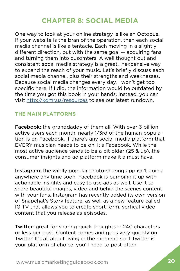## **CHAPTER 8: SOCIAL MEDIA**

<span id="page-24-0"></span>One way to look at your online strategy is like an Octopus. If your website is the bran of the operation, then each social media channel is like a tentacle. Each moving in a slightly different direction, but with the same goal -- acquiring fans and turning them into cusomters. A well thought out and consistent socal media strategy is a great, inexpensive way to expand the reach of your music. Let's briefly discuss each social media channel, plus their strengths and weaknesses. Because social media changes every day, I won't get too specific here. If I did, the information would be outdated by the time you got this book in your hands. Instead, you can visit <http://kdmr.us/resources>to see our latest rundown.

## **THE MAIN PLATFORMS**

Facebook: the granddaddy of them all. With over 3 billion active users each month, nearly 1/3rd of the human population is on Facebook. If there's any social media platform that EVERY musician needs to be on, it's Facebook. While the most active audience tends to be a bit older (25 & up), the consumer insights and ad platform make it a must have.

Instagram: the wildly popular photo-sharing app isn't going anywhere any time soon. Facebook is pumping it up with actionable insights and easy to use ads as well. Use it to share beautiful images, video and behid the scenes content with your fans. Instagram has recently added its own version of Snapchat's Story feature, as well as a new feature called IG TV that allows you to create short form, vertical video content that you release as episodes.

Twitter: great for sharing quick thoughts -- 240 characters or less per post. Content comes and goes very quickly on Twitter. It's all about living in the moment, so if Twitter is your platform of choice, you'll need to post often.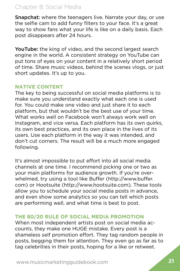## Chapter 8: Social Media

Snapchat: where the teenagers live. Narrate your day, or use the selfie cam to add funny filters to your face. It's a great way to show fans what your life is like on a daily basis. Each post disappears after 24 hours.

YouTube: the king of video, and the second largest search engine in the world. A consistent strategy on YouTube can put tons of eyes on your content in a relatively short period of time. Share music videos, behind the scenes vlogs, or just short updates. It's up to you.

## **NATIVE CONTENT**

The key to being successful on social media platforms is to make sure you understand exactly what each one is used for. You could make one video and just share it to each platform, but that wouldn't be the best use of your time. What works well on Facebook won't always work well on Instagram, and vice versa. Each platform has its own quirks, its own best practices, and its own place in the lives of its users. Use each platform in the way it was intended, and don't cut corners. The result will be a much more engaged following.

It's almost impossible to put effort into all social media channels at one time. I recommend picking one or two as your main platforms for audience growth. If you're overwhelmed, try using a tool like Buffer (http://www.buffer. com) or Hootsuite (http://www.hootsuite.com). These tools allow you to schedule your social media posts in advance, and even show some analytics so you can tell which posts are performing well, and what time is best to post.

## **THE 80/20 RULE OF SOCIAL MEDIA PROMOTION**

When most independent artists post on social media accounts, they make one HUGE mistake. Every post is a shameless self promotion effort. They tag random people in posts, begging them for attention. They even go as far as to tag celebrities in their posts, hoping for a like or retweet.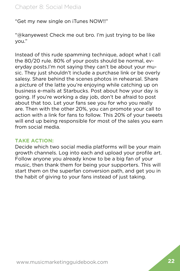"Get my new single on iTunes NOW!!"

"@kanyewest Check me out bro. I'm just trying to be like you."

Instead of this rude spamming technique, adopt what I call the 80/20 rule. 80% of your posts should be normal, everyday posts.I'm not saying they can't be about your music. They just shouldn't include a purchase link or be overly salesy. Share behind the scenes photos in rehearsal. Share a picture of the latte you're enjoying while catching up on business e-mails at Starbucks. Post about how your day is going. If you're working a day job, don't be afraid to post about that too. Let your fans see you for who you really are. Then with the other 20%, you can promote your call to action with a link for fans to follow. This 20% of your tweets will end up being responsible for most of the sales you earn from social media.

#### **TAKE ACTION:**

Decide which two social media platforms will be your main growth channels. Log into each and upload your profile art. Follow anyone you already know to be a big fan of your music, then thank them for being your supporters. This will start them on the superfan conversion path, and get you in the habit of giving to your fans instead of just taking.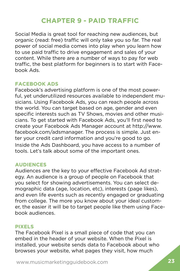## **CHAPTER 9 - PAID TRAFFIC**

<span id="page-27-0"></span>Social Media is great tool for reaching new audiences, but organic (read: free) traffic will only take you so far. The real power of social media comes into play when you learn how to use paid traffic to drive engagement and sales of your content. While there are a number of ways to pay for web traffic, the best platform for beginners is to start with Facebook Ads.

#### **FACEBOOK ADS**

Facebook's advertising platform is one of the most powerful, yet underutilized resources available to independent musicians. Using Facebook Ads, you can reach people across the world. You can target based on age, gender and even specific interests such as TV Shows, movies and other musicians. To get started with Facebook Ads, you'll first need to create your Facebook Ads Manager account at http://www. facebook.com/adsmanager. The process is simple. Just enter your credit card information and you're good to go. Inside the Ads Dashboard, you have access to a number of tools. Let's talk about some of the important ones.

#### **AUDIENCES**

Audiences are the key to your effective Facebook Ad strategy. An audience is a group of people on Facebook that you select for showing advertisements. You can select demographic data (age, location, etc), interests (page likes), and even life events such as recently engaged or graduating from college. The more you know about your ideal customer, the easier it will be to target people like them using Facebook audiences.

#### **PIXELS**

The Facebook Pixel is a small piece of code that you can embed in the header of your website. When the Pixel is installed, your website sends data to Facebook about who browses your website, what pages they visit, how much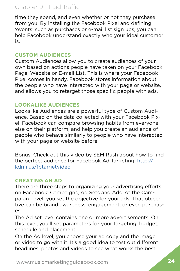## Chapter 9 - Paid Traffic

time they spend, and even whether or not they purchase from you. By installing the Facebook Pixel and defining 'events' such as purchases or e-mail list sign ups, you can help Facebook understand exactly who your ideal customer is.

## **CUSTOM AUDIENCES**

Custom Audiences allow you to create audiences of your own based on actions people have taken on your Facebook Page, Website or E-mail List. This is where your Facebook Pixel comes in handy. Facebook stores information about the people who have interacted with your page or website, and allows you to retarget those specific people with ads.

## **LOOKALIKE AUDIENCES**

Lookalike Audiences are a powerful type of Custom Audience. Based on the data collected with your Facebook Pixel, Facebook can compare browsing habits from everyone else on their platform, and help you create an audience of people who behave similarly to people who have interacted with your page or website before.

Bonus: Check out this video by SEM Rush about how to find the perfect audience for Facebook Ad Targeting: [http://](http://kdmr.us/fbtargetvideo ) [kdmr.us/fbtargetvideo](http://kdmr.us/fbtargetvideo )

## **CREATING AN AD**

There are three steps to organizing your advertising efforts on Facebook: Campaigns, Ad Sets and Ads. At the Campaign Level, you set the objective for your ads. That objective can be brand awareness, engagement, or even purchases.

The Ad set level contains one or more advertisements. On this level, you'll set parameters for your targeting, budget, schedule and placement.

On the Ad level, you choose your ad copy and the image or video to go with it. It's a good idea to test out different headlines, photos and videos to see what works the best.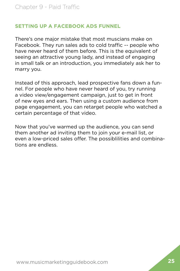## **SETTING UP A FACEBOOK ADS FUNNEL**

There's one major mistake that most muscians make on Facebook. They run sales ads to cold traffic -- people who have never heard of them before. This is the equivalent of seeing an attractive young lady, and instead of engaging in small talk or an introduction, you immediately ask her to marry you.

Instead of this approach, lead prospective fans down a funnel. For people who have never heard of you, try running a video view/engagement campaign, just to get in front of new eyes and ears. Then using a custom audience from page engagement, you can retarget people who watched a certain percentage of that video.

Now that you've warmed up the audience, you can send them another ad inviting them to join your e-mail list, or even a low-priced sales offer. The possiblilities and combinations are endless.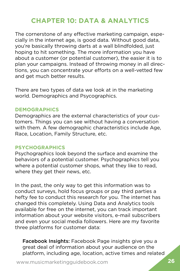## **CHAPTER 10: DATA & ANALYTICS**

<span id="page-30-0"></span>The cornerstone of any effective marketing campaign, especially in the internet age, is good data. Without good data, you're basically throwing darts at a wall blindfolded, just hoping to hit something. The more information you have about a customer (or potential customer), the easier it is to plan your campaigns. Instead of throwing money in all directions, you can concentrate your efforts on a well-vetted few and get much better results.

There are two types of data we look at in the marketing world. Demographics and Psycographics.

#### **DEMOGRAPHICS**

Demographics are the external characteristics of your customers. Things you can see without having a conversation with them. A few demographic characteristics include Age, Race, Location, Family Structure, etc.

#### **PSYCHOGRAPHICS**

Psychographics look beyond the surface and examine the behaviors of a potential customer. Psychographics tell you where a potential customer shops, what they like to read, where they get their news, etc.

In the past, the only way to get this information was to conduct surveys, hold focus groups or pay third parties a hefty fee to conduct this research for you. The internet has changed this completely. Using Data and Analytics tools available for free on the internet, you can track important information about your website visitors, e-mail subscribers and even your social media followers. Here are my favorite three platforms for customer data:

Facebook Insights: Facebook Page insights give you a great deal of information about your audience on the platform, including age, location, active times and related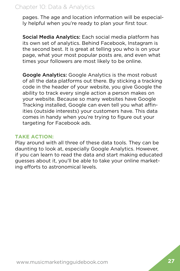## Chapter 10: Data & Analytics

pages. The age and location information will be especially helpful when you're ready to plan your first tour.

Social Media Analytics: Each social media platform has its own set of analytics. Behind Facebook, Instagram is the second best. It is great at telling you who is on your page, what your most popular posts are, and even what times your followers are most likely to be online.

Google Analytics: Google Analytics is the most robust of all the data platforms out there. By sticking a tracking code in the header of your website, you give Google the ability to track every single action a person makes on your website. Because so many websites have Google Tracking installed, Google can even tell you what affinities (outside interests) your customers have. This data comes in handy when you're trying to figure out your targeting for Facebook ads.

## **TAKE ACTION:**

Play around with all three of these data tools. They can be daunting to look at, especially Google Analytics. However, if you can learn to read the data and start making educated guesses about it, you'll be able to take your online marketing efforts to astronomical levels.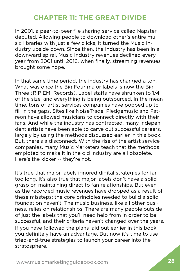## **CHAPTER 11: THE GREAT DIVIDE**

<span id="page-32-0"></span>In 2001, a peer-to-peer file sharing service called Napster debuted. Allowing people to download other's entire music libraries with just a few clicks, it turned the Music Industry upside down. Since then, the industry has been in a downward spiral. Music Industry revenues declined every year from 2001 until 2016, when finally, streaming revenues brought some hope.

In that same time period, the industry has changed a ton. What was once the Big Four major labels is now the Big Three (RIP EMI Records). Label staffs have shrunken to 1/4 of the size, and everything is being outsourced. In the meantime, tons of artist services companies have popped up to fill in the gaps. Sites like NoiseTrade, Pledgemusic and Patreon have allowed musicians to connect directly with their fans. And while the industry has contracted, many independent artists have been able to carve out successful careers, largely by using the methods discussed earlier in this book. But, there's a disconnect. With the rise of the artist service companies, many Music Marketers teach that the methods emploted to make it in the old industry are all obsolete. Here's the kicker -- they're not.

It's true that major labels ignored digital strategies for far too long. It's also true that major labels don't have a solid grasp on maintaining direct to fan relationships. But even as the recorded music revenues have dropped as a result of these missteps; the core principles needed to build a solid foundation haven't. The music business, like all other business, relies on relationships. There are many people outside of just the labels that you'll need help from in order to be successful, and their criteria haven't changed over the years. If you have followed the plans laid out earlier in this book, you definitely have an advantage. But now it's time to use tried-and-true strategies to launch your career into the stratosphere.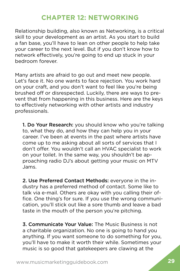## **CHAPTER 12: NETWORKING**

<span id="page-33-0"></span>Relationship building, also known as Networking, is a critical skill to your development as an artist. As you start to build a fan base, you'll have to lean on other people to help take your career to the next level. But if you don't know how to network effectively, you're going to end up stuck in your bedroom forever.

Many artists are afraid to go out and meet new people. Let's face it. No one wants to face rejection. You work hard on your craft, and you don't want to feel like you're being brushed off or disrespected. Luckily, there are ways to prevent that from happening in this business. Here are the keys to effectively networking with other artists and industry professionals.

1. Do Your Research: you should know who you're talking to, what they do, and how they can help you in your career. I've been at events in the past where artists have come up to me asking about all sorts of services that I don't offer. You wouldn't call an HVAC specialist to work on your toilet. In the same way, you shouldn't be approaching radio DJ's about getting your music on MTV Jams.

2. Use Preferred Contact Methods: everyone in the industry has a preferred method of contact. Some like to talk via e-mail. Others are okay with you calling their office. One thing's for sure. If you use the wrong communication, you'll stick out like a sore thumb and leave a bad taste in the mouth of the person you're pitching.

3. Communicate Your Value: The Music Business is not a charitable organization. No one is going to hand you anything. If you want someone to do something for you, you'll have to make it worth their while. Sometimes your music is so good that gatekeepers are clawing at the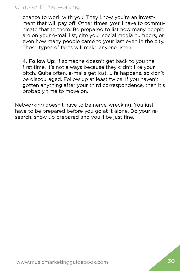## Chapter 12: Networking

chance to work with you. They know you're an investment that will pay off. Other times, you'll have to communicate that to them. Be prepared to list how many people are on your e-mail list, cite your social media numbers, or even how many people came to your last even in the city. Those types of facts will make anyone listen.

4. Follow Up: If someone doesn't get back to you the first time, it's not always because they didn't like your pitch. Quite often, e-mails get lost. Life happens, so don't be discouraged. Follow up at least twice. If you haven't gotten anything after your third correspondence, then it's probably time to move on.

Networking doesn't have to be nerve-wrecking. You just have to be prepared before you go at it alone. Do your research, show up prepared and you'll be just fine.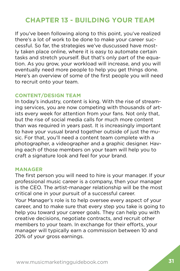## <span id="page-35-0"></span>**CHAPTER 13 - BUILDING YOUR TEAM**

If you've been following along to this point, you've realized there's a lot of work to be done to make your career successful. So far, the strategies we've duscussed have mostly taken place online, where it is easy to automate certain tasks and stretch yourself. But that's only part of the equation. As you grow, your workload will increase, and you will eventually need more people to help you get things done. Here's an overview of some of the first people you will need to recruit onto your team.

#### **CONTENT/DESIGN TEAM**

In today's industry, content is king. With the rise of streaming services, you are now competing with thousands of artists every week for attention from your fans. Not only that, but the rise of social media calls for much more content than was required in years past. It is increasingly important to have your vusual brand together outside of just the music. For that, you'll need a content team complete with a photographer, a videographer and a graphic designer. Having each of those members on your team will help you to craft a signature look and feel for your brand.

#### **MANAGER**

The first person you will need to hire is your manager. If your professional music career is a company, then your manager is the CEO. The artist-manager relationship will be the most critical one in your pursuit of a successful career.

Your Manager's role is to help oversee every aspect of your career, and to make sure that every step you take is going to help you toward your career goals. They can help you with creative decisions, negotiate contracts, and recruit other members to your team. In exchange for their efforts, your manager will typically earn a commission between 10 and 20% of your gross earnings.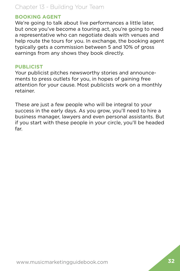## Chapter 13 - Building Your Team

#### **BOOKING AGENT**

We're going to talk about live performances a little later. but once you've become a touring act, you're going to need a representative who can negotiate deals with venues and help route the tours for you. In exchange, the booking agent typically gets a commission between 5 and 10% of gross earnings from any shows they book directly.

#### **PUBLICIST**

Your publicist pitches newsworthy stories and announcements to press outlets for you, in hopes of gaining free attention for your cause. Most publicists work on a monthly retainer.

These are just a few people who will be integral to your success in the early days. As you grow, you'll need to hire a business manager, lawyers and even personal assistants. But if you start with these people in your circle, you'll be headed far.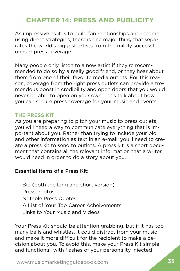## <span id="page-37-0"></span>**CHAPTER 14: PRESS AND PUBLICITY**

As impressive as it is to build fan relationships and income using direct strategies, there is one major thing that separates the world's biggest artists from the mildly successful ones -- press coverage.

Many people only listen to a new artist if they're recommended to do so by a really good friend, or they hear about them from one of their favorite media outlets. For this reason, coverage from the right press outlets can provide a tremendous boost in credibility and open doors that you would never be able to open on your own. Let's talk about how you can secure press coverage for your music and events.

## **THE PRESS KIT**

As you are preparing to pitch your music to press outlets, you will need a way to communicate everything that is important about you. Rather than trying to include your bio and other information as text in an e-mail, you'll need to create a press kit to send to outlets. A press kit is a short document that contains all the relevant information that a writer would need in order to do a story about you.

## Essential Items of a Press Kit:

Bio (both the long and short version) Press Photos Notable Press Quotes A List of Your Top Career Acheivements Links to Your Music and Videos

Your Press Kit should be attention grabbing, but if it has too many bells and whistles, it could distract from your music and make it more difficult for the recipient to make a decision about you. To avoid this, make your Press Kit simple and functional, with flashes of your personality injected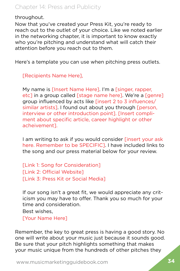throughout.

Now that you've created your Press Kit, you're ready to reach out to the outlet of your choice. Like we noted earlier in the networking chapter, it is important to know exactly who you're pitching and understand what will catch their attention before you reach out to them.

Here's a template you can use when pitching press outlets.

[Recipients Name Here],

My name is [Insert Name Here]. I'm a [singer, rapper, etc] in a group called [stage name here]. We're a [genre] group influenced by acts like [insert 2 to 3 influences/ similar artists]. I found out about you through [person, interview or other introduction point]. [Insert compliment about specific article, career highlight or other acheivement].

I am writing to ask if you would consider [insert your ask here. Remember to be SPECIFIC]. I have included links to the song and our press material below for your review.

[Link 1: Song for Consideration] [Link 2: Official Website] [Link 3: Press Kit or Social Media]

If our song isn't a great fit, we would appreciate any criticism you may have to offer. Thank you so much for your time and consideration.

Best wishes,

[Your Name Here]

Remember, the key to great press is having a good story. No one will write about your music just because it sounds good. Be sure that your pitch highlights something that makes your music unique from the hundreds of other pitches they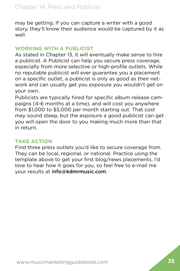may be getting. If you can capture a writer with a good story, they'll know their audience would be captured by it as well.

#### **WORKING WITH A PUBLICIST**

As stated in Chapter 13, it will eventually make sense to hire a publicist. A Publicist can help you secure press coverage, especially from more selective or high-profile outlets. While no reputable publicist will ever guarantee you a placement on a specific outlet, a publicist is only as good as their network and can usually get you exposure you wouldn't get on your own.

Publicists are typically hired for specific album release campaigns (4-6 months at a time), and will cost you anywhere from \$1,000 to \$5,000 per month starting out. That cost may sound steep, but the exposure a good publicist can get you will open the door to you making much more than that in return.

#### **TAKE ACTION**

Find three press outlets you'd like to secure coverage from. They can be local, regional, or national. Practice using the template above to get your first blog/news placements. I'd love to hear how it goes for you, so feel free to e-mail me your results at info@kdmrmusic.com.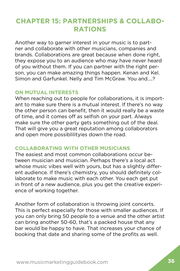## <span id="page-40-0"></span>**CHAPTER 15: PARTNERSHIPS & COLLABO-RATIONS**

Another way to garner interest in your music is to partner and collaborate with other musicians, companies and brands. Collaborations are great because when done right, they expose you to an audience who may have never heard of you without them. If you can partner with the right person, you can make amazing things happen. Kenan and Kel. Simon and Garfunkel. Nelly and Tim McGraw. You and....?

#### **ON MUTUAL INTERESTS**

When reaching out to people for collaborations, it is important to make sure there is a mutual interest. If there's no way the other person can benefit, then it would really be a waste of time, and it comes off as selfish on your part. Always make sure the other party gets something out of the deal. That will give you a great reputation among collaborators and open more possiblilityies down the road.

#### **COLLABORATING WITH OTHER MUSICIANS**

The easiest and most common collaborations occur between musician and musician. Perhaps there's a local act whose music vibes well with yours, but has a slightly different audience. If there's chemistry, you should definitely collaborate to make music with each other. You each get put in front of a new audience, plus you get the creative experience of working together.

Another form of collaboration is throwing joint concerts. This is perfect especially for those with smaller audiences. If you can only bring 50 people to a venue and the other artist can bring another 50-60, that's a packed house that any bar would be happy to have. That increases your chance of booking that date and sharing some of the profits as well.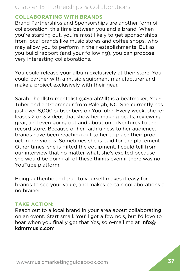## Chapter 15: Partnerships & Collaborations

#### **COLLABORATING WITH BRANDS**

Brand Partnerships and Sponsorships are another form of collaboration, this time between you and a brand. When you're starting out, you're most likely to get sponsorships from local brands like music stores and coffee shops, who may allow you to perform in their establishments. But as you build rapport (and your following), you can propose very interesting collaborations.

You could release your album exclusively at their store. You could partner with a music equipment manufacturer and make a project exclusively with their gear.

Sarah The Illstrumentalist (@Sarah2Ill) is a beatmaker, You-Tuber and entrepreneur from Raleigh, NC. She currently has just over 8,000 subscribers on YouTube. Every week, she releases 2 or 3 videos that show her making beats, reviewing gear, and even going out and about on adventures to the record store. Because of her faithfulness to her audience, brands have been reaching out to her to place their product in her videos. Sometimes she is paid for the placement. Other times, she is gifted the equipment. I could tell from our interview that no matter what, she's excited because she would be doing all of these things even if there was no YouTube platform.

Being authentic and true to yourself makes it easy for brands to see your value, and makes certain collaborations a no brainer.

## **TAKE ACTION:**

Reach out to a local brand in your area about collaborating on an event. Start small. You'll get a few no's, but I'd love to hear when you finally get that Yes, so e-mail me at info@ kdmrmusic.com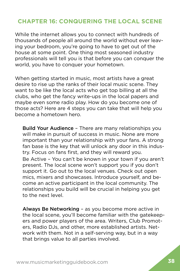## <span id="page-42-0"></span>**CHAPTER 16: CONQUERING THE LOCAL SCENE**

While the internet allows you to connect with hundreds of thousands of people all around the world without ever leaving your bedroom, you're going to have to get out of the house at some point. One thing most seasoned industry professionals will tell you is that before you can conquer the world, you have to conquer your hometown.

When getting started in music, most artists have a great desire to rise up the ranks of their local music scene. They want to be like the local acts who get top billing at all the clubs, who get the fancy write-ups in the local papers and maybe even some radio play. How do you become one of those acts? Here are 4 steps you can take that will help you become a hometown hero.

Build Your Audience - There are many relationships you will make in pursuit of success in music. None are more important than your relationship with your fans. A strong fan base is the key that will unlock any door in this industry. Focus on fans first, and they will reward you. Be Active – You can't be known in your town if you aren't present. The local scene won't support you if you don't support it. Go out to the local venues. Check out open mics, mixers and showcases. Introduce yourself, and become an active participant in the local community. The relationships you build will be crucial in helping you get to the next level.

Always Be Networking – as you become more active in the local scene, you'll become familiar with the gatekeepers and power players of the area. Writers, Club Promoters, Radio DJs, and other, more established artists. Network with them. Not in a self-serving way, but in a way that brings value to all parties involved.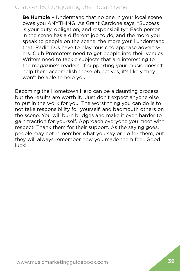## Chapter 16: Conquering the Local Scene

Be Humble - Understand that no one in your local scene owes you ANYTHING. As Grant Cardone says, "Success is your duty, obligation, and responsibility." Each person in the scene has a different job to do, and the more you speak to people on the scene, the more you'll understand that. Radio DJs have to play music to appease advertisers. Club Promoters need to get people into their venues. Writers need to tackle subjects that are interesting to the magazine's readers. If supporting your music doesn't help them accomplish those objectives, it's likely they won't be able to help you.

Becoming the Hometown Hero can be a daunting process, but the results are worth it. Just don't expect anyone else to put in the work for you. The worst thing you can do is to not take responsibility for yourself, and badmouth others on the scene. You will burn bridges and make it even harder to gain traction for yourself. Approach everyone you meet with respect. Thank them for their support. As the saying goes, people may not remember what you say or do for them, but they will always remember how you made them feel. Good luck!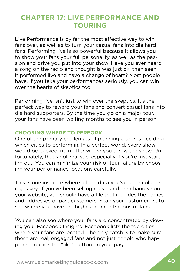## <span id="page-44-0"></span>**CHAPTER 17: LIVE PERFORMANCE AND TOURING**

Live Performance is by far the most effective way to win fans over, as well as to turn your casual fans into die hard fans. Performing live is so powerful because it allows you to show your fans your full personality, as well as the passion and drive you put into your show. Have you ever heard a song on the radio and thought is was just ok, then seen it performed live and have a change of heart? Most people have. If you take your performances seriously, you can win over the hearts of skeptics too.

Performing live isn't just to win over the skeptics. It's the perfect way to reward your fans and convert casual fans into die hard supporters. By the time you go on a major tour, your fans have been waiting months to see you in person.

#### **CHOOSING WHERE TO PERFORM**

One of the primary challenges of planning a tour is deciding which cities to perform in. In a perfect world, every show would be packed, no matter where you throw the show. Unfortunately, that's not realistic, especially if you're just starting out. You can minimize your risk of tour failure by choosing your performance locations carefully.

This is one instance where all the data you've been collecting is key. If you've been selling music and merchandise on your website, you should have a file that includes the names and addresses of past customers. Scan your customer list to see where you have the highest concentrations of fans.

You can also see where your fans are concentrated by viewing your Facebook Insights. Facebook lists the top cities where your fans are located. The only catch is to make sure these are real, engaged fans and not just people who happened to click the "like" button on your page.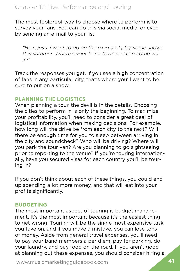The most foolproof way to choose where to perform is to survey your fans. You can do this via social media, or even by sending an e-mail to your list.

*"Hey guys. I want to go on the road and play some shows this summer. Where's your hometown so I can come visit?"*

Track the responses you get. If you see a high concentration of fans in any particular city, that's where you'll want to be sure to put on a show.

## **PLANNING THE LOGISTICS**

When planning a tour, the devil is in the details. Choosing the cities to perform in is only the beginning. To maximize your profitability, you'll need to consider a great deal of logistical information when making decisions. For example, how long will the drive be from each city to the next? Will there be enough time for you to sleep between arriving in the city and soundcheck? Who will be driving? Where will you park the tour van? Are you planning to go sightseeing prior to reporting to the venue? If you're touring internationally, have you secured visas for each country you'll be touring in?

If you don't think about each of these things, you could end up spending a lot more money, and that will eat into your profits significantly.

## **BUDGETING**

The most important aspect of touring is budget management. It's the most important because it's the easiest thing to get wrong. Touring will be the single most expensive task you take on, and if you make a mistake, you can lose tons of money. Aside from general travel expenses, you'll need to pay your band members a per diem, pay for parking, do your laundry, and buy food on the road. If you aren't good at planning out these expenses, you should consider hiring a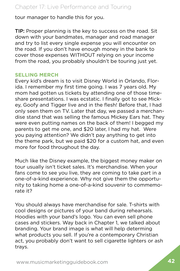tour manager to handle this for you.

TIP: Proper planning is the key to success on the road. Sit down with your bandmates, manager and road manager and try to list every single expense you will encounter on the road. If you don't have enough money in the bank to cover those expenses WITHOUT relying on your income from the road, you probably shouldn't be touring just yet.

#### **SELLING MERCH**

Every kid's dream is to visit Disney World in Orlando, Florida. I remember my first time going. I was 7 years old. My mom had gotten us tickets by attending one of those timeshare presentations. I was ecstatic. I finally got to see Mickey, Goofy and Tigger live and in the flesh! Before that, I had only seen them on TV. Later that day, we passed a merchandise stand that was selling the famous Mickey Ears hat. They were even putting names on the back of them! I begged my parents to get me one, and \$20 later, I had my hat. Were you paying attention? We didn't pay anything to get into the theme park, but we paid \$20 for a custom hat, and even more for food throughout the day.

Much like the Disney example, the biggest money maker on tour usually isn't ticket sales. It's merchandise. When your fans come to see you live, they are coming to take part in a one-of-a-kind experience. Why not give them the opportunity to taking home a one-of-a-kind souvenir to commemorate it?

You should always have merchandise for sale. T-shirts with cool designs or pictures of your band during rehearsals. Hoodies with your band's logo. You can even sell phone cases and stickers. Way back in Chapter 1, we talked about branding. Your brand image is what will help determing what products you sell. If you're a contemporary Christian act, you probably don't want to sell cigarette lighters or ash trays.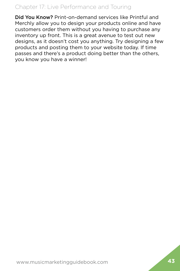## Chapter 17: Live Performance and Touring

Did You Know? Print-on-demand services like Printful and Merchly allow you to design your products online and have customers order them without you having to purchase any inventory up front. This is a great avenue to test out new designs, as it doesn't cost you anything. Try designing a few products and posting them to your website today. If time passes and there's a product doing better than the others, you know you have a winner!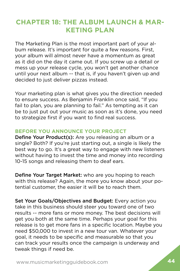## <span id="page-48-0"></span>**CHAPTER 18: THE ALBUM LAUNCH & MAR-KETING PLAN**

The Marketing Plan is the most important part of your album release. It's important for quite a few reasons. First, your album will almost never have a momentum as great as it did on the day it came out. If you screw up a detail or mess up your release cycle, you won't get another chance until your next album -- that is, if you haven't given up and decided to just deliver pizzas instead.

Your marketing plan is what gives you the direction needed to ensure success. As Benjamin Franklin once said, "If you fail to plan, you are planning to fail." As tempting as it can be to just put out your music as soon as it's done, you need to strategize first if you want to find real success.

## **BEFORE YOU ANNOUNCE YOUR PROJECT**

Define Your Product(s): Are you releasing an album or a single? Both? If you're just starting out, a single is likely the best way to go. It's a great way to engage with new listeners without having to invest the time and money into recording 10-15 songs and releasing them to deaf ears.

Define Your Target Market: who are you hoping to reach with this release? Again, the more you know about your potential customer, the easier it will be to reach them.

Set Your Goals/Objectives and Budget: Every action you take in this business should steer you toward one of two results -- more fans or more money. The best decisions will get you both at the same time. Perhaps your goal for this release is to get more fans in a specific location. Maybe you need \$50,000 to invest in a new tour van. Whatever your goal, it needs to be specific and measurable so that you can track your results once the campaign is underway and tweak things if need be.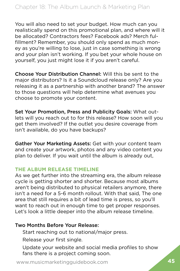You will also need to set your budget. How much can you realistically spend on this promotional plan, and where will it be allocated? Contractors fees? Facebook ads? Merch fulfillment? Remember, you should only spend as much money as you're willing to lose, just in case something is wrong and your plan isn't working. If you bet your whole house on yourself, you just might lose it if you aren't careful.

Choose Your Distribution Channel: Will this be sent to the major distributors? Is it a Soundcloud release only? Are you releasing it as a partnership with another brand? The answer to those questions will help determine what avenues you choose to promote your content.

Set Your Promotion, Press and Publicity Goals: What outlets will you reach out to for this release? How soon will you get them involved? If the outlet you desire coverage from isn't available, do you have backups?

Gather Your Marketing Assets: Get with your content team and create your artwork, photos and any video content you plan to deliver. If you wait until the album is already out,

#### **THE ALBUM RELEASE TIMELINE**

As we get further into the streaming era, the album release cycle is getting shorter and shorter. Because most albums aren't being distributed to physical retailers anymore, there isn't a need for a 5-6 month rollout. With that said, The one area that still requires a bit of lead time is press, so you'll want to reach out in enough time to get proper responses. Let's look a little deeper into the album release timeline.

#### Two Months Before Your Release:

Start reaching out to national/major press.

Release your first single.

Update your website and social media profiles to show fans there is a project coming soon.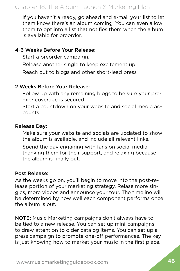If you haven't already, go ahead and e-mail your list to let them know there's an album coming. You can even allow them to opt into a list that notifies them when the album is available for preorder.

#### 4-6 Weeks Before Your Release:

Start a preorder campaign.

Release another single to keep excitement up.

Reach out to blogs and other short-lead press

## 2 Weeks Before Your Release:

Follow up with any remaining blogs to be sure your premier coverage is secured.

Start a countdown on your website and social media accounts.

#### Release Day:

Make sure your website and socials are updated to show the album is available, and include all relevant links.

Spend the day engaging with fans on social media, thanking them for their support, and relaxing because the album is finally out.

## Post Release:

As the weeks go on, you'll begin to move into the post-release portion of your marketing strategy. Relase more singles, more videos and announce your tour. The timeline will be determined by how well each component performs once the album is out.

NOTE: Music Marketing campaigns don't always have to be tied to a new release. You can set up mini-campaigns to draw attention to older catalog items. You can set up a press campaign to promote one-off performances. The key is just knowing how to market your music in the first place.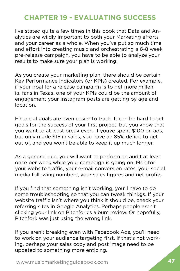## <span id="page-51-0"></span>**CHAPTER 19 - EVALUATING SUCCESS**

I've stated quite a few times in this book that Data and Analytics are wildly important to both your Marketing efforts and your career as a whole. When you've put so much time and effort into creating music and orchestrating a 6-8 week pre-release campaign, you have to be able to analyze your results to make sure your plan is working.

As you create your marketing plan, there should be certain Key Performance Indicators (or KPIs) created. For example, if your goal for a release campaign is to get more millenial fans in Texas, one of your KPIs could be the amount of engagement your Instagram posts are getting by age and location.

Financial goals are even easier to track. It can be hard to set goals for the success of your first project, but you know that you want to at least break even. If youve spent \$100 on ads, but only made \$15 in sales, you have an 85% deficit to get out of, and you won't be able to keep it up much longer.

As a general rule, you will want to perform an audit at least once per week while your campaign is going on. Monitor your website traffic, your e-mail conversion rates, your social media following numbers, your sales figures and net profits.

If you find that something isn't working, you'll have to do some troubleshooting so that you can tweak thinkgs. If your website traffic isn't where you think it should be, check your referring sites in Google Analytics. Perhaps people aren't clicking your link on Pitchfork's album review. Or hopefully, Pitchfork was just using the wrong link.

If you aren't breaking even with Facebook Ads, you'll need to work on your audience targeting first. If that's not working, perhaps your sales copy and post image need to be updated to something more enticing.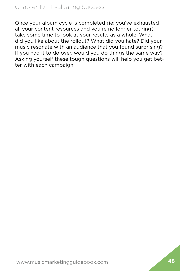Once your album cycle is completed (ie: you've exhausted all your content resources and you're no longer touring), take some time to look at your results as a whole. What did you like about the rollout? What did you hate? Did your music resonate with an audience that you found surprising? If you had it to do over, would you do things the same way? Asking yourself these tough questions will help you get better with each campaign.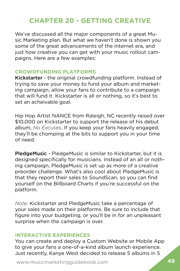## <span id="page-53-0"></span>**CHAPTER 20 - GETTING CREATIVE**

We've discussed all the major components of a great Music Marketing plan. But what we haven't done is shown you some of the great advancements of the internet era, and just how creative you can get with your music rollout campaigns. Here are a few examples:

#### **CROWDFUNDING PLATFORMS**

Kickstarter - the original crowdfunding platform. Instead of trying to save your money to fund your album and marketing campaign, allow your fans to contribute to a campaign that will fund it. Kickstarter is all or nothing, so it's best to set an acheivable goal.

Hip Hop Artist NANCE from Raleigh, NC recently raised over \$10,000 on Kickstarter to support the release of his debut album, *No Excuses*. If you keep your fans heavily engaged, they'll be chomping at the bits to support you in your time of need.

PledgeMusic - PledgeMusic is similar to Kickstarter, but it is designed specifically for musicians. Instead of an all or nothing campaign, PledgeMusic is set up as more of a creative preorder challenge. What's also cool about PledgeMusic is that they report their sales to SoundScan, so you can find yourself on the Billboard Charts if you're successful on the platform.

*Note:* Kickstarter and PledgeMusic take a percentage of your sales made on their platforms. Be sure to include that figure into your budgeting, or you'll be in for an unpleasant surprise when the campaign is over.

## **INTERACTIVE EXPERIENCES**

You can create and deploy a Custom Website or Mobile App to give your fans a one-of-a-kind album launch experience. Just recently, Kanye West decided to release 5 albums in 5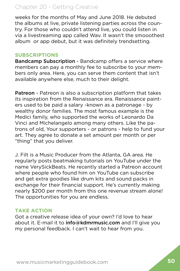## Chapter 20 - Getting Creative

weeks for the months of May and June 2018. He debuted the albums at live, private listening parties across the country. For those who couldn't attend live, you could listen in via a livestreaming app called Wav. It wasn't the smooothest album or app debut, but it was definitely trendsetting.

#### **SUBSCRIPTIONS**

Bandcamp Subscription - Bandcamp offers a service where members can pay a monthly fee to subscribe to your members only area. Here, you can serve them content that isn't available anywhere else, much to their delight.

Patreon - Patreon is also a subscription platform that takes its inspiration from the Renaissance era. Renaissance painters used to be paid a salary -known as a patronage - by wealthy donor families. The most famous example is the Medici family, who supported the works of Leonardo Da Vinci and Michelangelo among many others. Like the patrons of old, Your supporters - or patrons - help to fund your art. They agree to donate a set amount per month or per "thing" that you deliver.

J. Filt is a Music Producer from the Atlanta, GA area. He regularly posts beatmaking tutorials on YouTube under the name VerySickBeats. He recently started a Patreon account where people who found him on YouTube can subscribe and get extra goodies like drum kits and sound packs in exchange for their financial support. He's currently making nearly \$200 per month from this one revenue stream alone! The opportunities for you are endless.

#### **TAKE ACTION**

Got a creative release idea of your own? I'd love to hear about it. E-mail it to info@kdmrmusic.com and I'll give you my personal feedback. I can't wait to hear from you.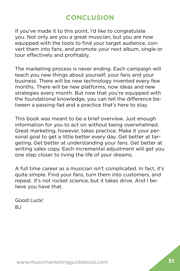## **CONCLUSION**

<span id="page-55-0"></span>If you've made it to this point, I'd like to congratulate you. Not only are you a great musician, but you are now equipped with the tools to find your target audience, convert them into fans, and promote your next album, single or tour effectively and profitably.

The marketing process is never ending. Each campaign will teach you new things about yourself, your fans and your business. There will be new technology invented every few months. There will be new platforms, now ideas and new strategies every month. But now that you're equipped with the foundational knowledge, you can tell the difference between a passing fad and a practice that's here to stay.

This book was meant to be a brief overview. Just enough information for you to act on without being overwhelmed. Great marketing, however, takes practice. Make it your personal goal to get a little better every day. Get better at targeting. Get better at understanding your fans. Get better at writing sales copy. Each incremental adjustment will get you one step closer to living the life of your dreams.

A full time career as a musician isn't complicated. In fact, it's quite simple. Find your fans, turn them into customers, and repeat. It's not rocket science, but it takes drive. And I believe you have that.

Good Luck!  $B<sub>1</sub>$